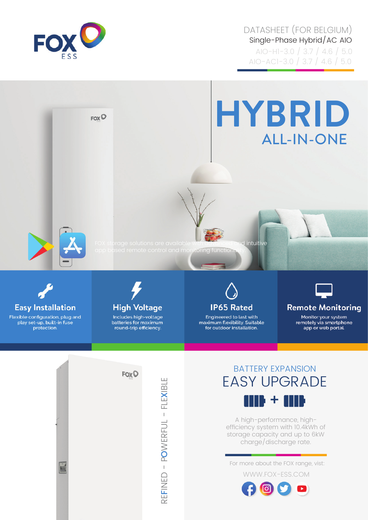

DATASHEET (FOR BELGIUM) Single-Phase Hybrid/AC AIO AIO-H1-3.0 / 3.7 / 4.6 / 5.0 AIO-AC1-3.0 / 3.7 / 4.6 / 5.0



**Easy Installation** 

Flexible configuration, plug and play set-up, built-in fuse protection.



Includes high-voltage batteries for maximum round-trip efficiency.



Engineered to last with maximum flexibility. Suitable<br>for outdoor installation.



**Remote Monitoring** 

Monitor your system remotely via smartphone app or web portal.



BATTERY EXPANSION EASY UPGRADE



A high-performance, highefficiency system with 10.4kWh of storage capacity and up to 6kW charge/discharge rate.

For more about the FOX range, vist:

WWW.FOX-ESS.COM